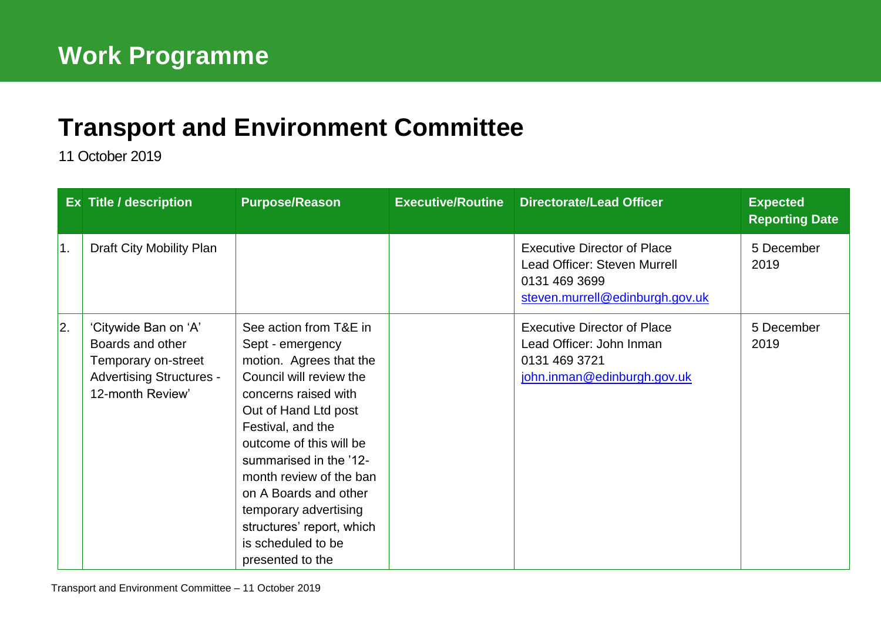## **[Transport and Environment](mailto:john.bury@edinburgh.gov.uk) Committee**

11 October 2019

|    | Ex Title / description                                                                                                 | <b>Purpose/Reason</b>                                                                                                                                                                                                                                                                                                                                                          | <b>Executive/Routine</b> | <b>Directorate/Lead Officer</b>                                                                                        | <b>Expected</b><br><b>Reporting Date</b> |
|----|------------------------------------------------------------------------------------------------------------------------|--------------------------------------------------------------------------------------------------------------------------------------------------------------------------------------------------------------------------------------------------------------------------------------------------------------------------------------------------------------------------------|--------------------------|------------------------------------------------------------------------------------------------------------------------|------------------------------------------|
| 1. | Draft City Mobility Plan                                                                                               |                                                                                                                                                                                                                                                                                                                                                                                |                          | <b>Executive Director of Place</b><br>Lead Officer: Steven Murrell<br>0131 469 3699<br>steven.murrell@edinburgh.gov.uk | 5 December<br>2019                       |
| 2. | 'Citywide Ban on 'A'<br>Boards and other<br>Temporary on-street<br><b>Advertising Structures -</b><br>12-month Review' | See action from T&E in<br>Sept - emergency<br>motion. Agrees that the<br>Council will review the<br>concerns raised with<br>Out of Hand Ltd post<br>Festival, and the<br>outcome of this will be<br>summarised in the '12-<br>month review of the ban<br>on A Boards and other<br>temporary advertising<br>structures' report, which<br>is scheduled to be<br>presented to the |                          | <b>Executive Director of Place</b><br>Lead Officer: John Inman<br>0131 469 3721<br>john.inman@edinburgh.gov.uk         | 5 December<br>2019                       |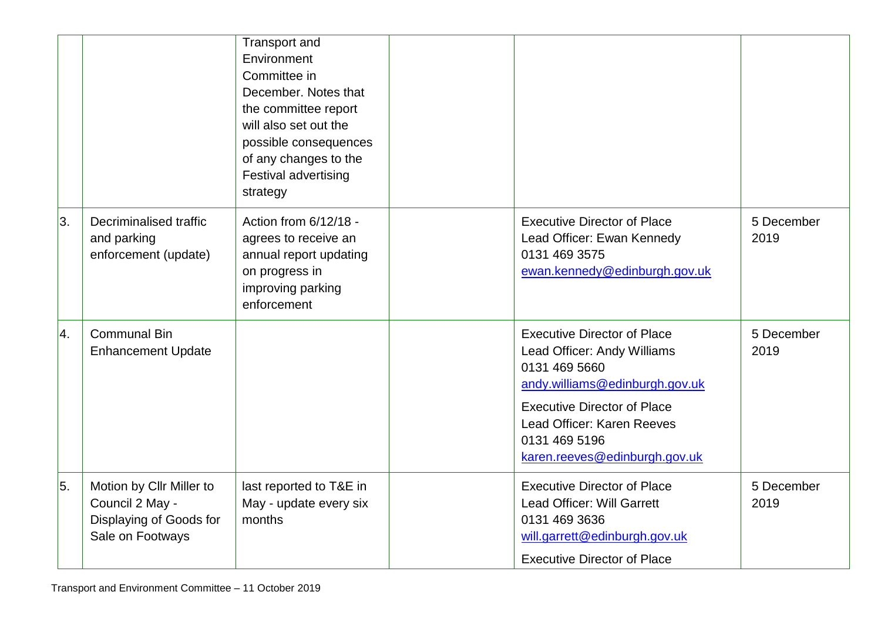|    |                                                                                            | <b>Transport and</b><br>Environment<br>Committee in<br>December, Notes that<br>the committee report<br>will also set out the<br>possible consequences<br>of any changes to the<br><b>Festival advertising</b><br>strategy |                                                                                                                                                                                                                                            |                    |
|----|--------------------------------------------------------------------------------------------|---------------------------------------------------------------------------------------------------------------------------------------------------------------------------------------------------------------------------|--------------------------------------------------------------------------------------------------------------------------------------------------------------------------------------------------------------------------------------------|--------------------|
| 3. | Decriminalised traffic<br>and parking<br>enforcement (update)                              | Action from 6/12/18 -<br>agrees to receive an<br>annual report updating<br>on progress in<br>improving parking<br>enforcement                                                                                             | <b>Executive Director of Place</b><br>Lead Officer: Ewan Kennedy<br>0131 469 3575<br>ewan.kennedy@edinburgh.gov.uk                                                                                                                         | 5 December<br>2019 |
| 4. | <b>Communal Bin</b><br><b>Enhancement Update</b>                                           |                                                                                                                                                                                                                           | <b>Executive Director of Place</b><br>Lead Officer: Andy Williams<br>0131 469 5660<br>andy.williams@edinburgh.gov.uk<br><b>Executive Director of Place</b><br>Lead Officer: Karen Reeves<br>0131 469 5196<br>karen.reeves@edinburgh.gov.uk | 5 December<br>2019 |
| 5. | Motion by Cllr Miller to<br>Council 2 May -<br>Displaying of Goods for<br>Sale on Footways | last reported to T&E in<br>May - update every six<br>months                                                                                                                                                               | <b>Executive Director of Place</b><br>Lead Officer: Will Garrett<br>0131 469 3636<br>will.garrett@edinburgh.gov.uk<br><b>Executive Director of Place</b>                                                                                   | 5 December<br>2019 |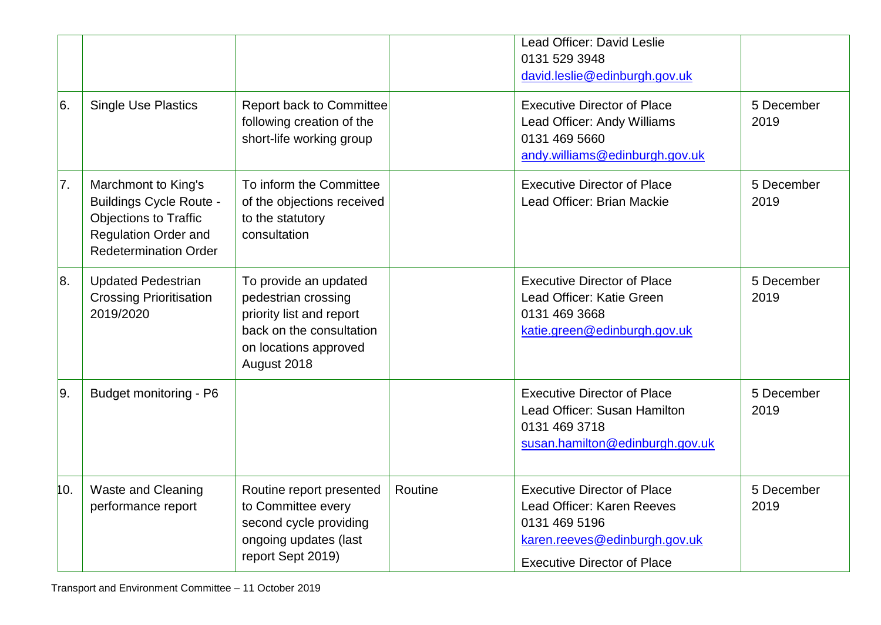|               |                                                                                                                                                      |                                                                                                                                              |         | Lead Officer: David Leslie<br>0131 529 3948<br>david.leslie@edinburgh.gov.uk                                                                             |                    |
|---------------|------------------------------------------------------------------------------------------------------------------------------------------------------|----------------------------------------------------------------------------------------------------------------------------------------------|---------|----------------------------------------------------------------------------------------------------------------------------------------------------------|--------------------|
| <sup>6.</sup> | <b>Single Use Plastics</b>                                                                                                                           | <b>Report back to Committee</b><br>following creation of the<br>short-life working group                                                     |         | <b>Executive Director of Place</b><br>Lead Officer: Andy Williams<br>0131 469 5660<br>andy.williams@edinburgh.gov.uk                                     | 5 December<br>2019 |
| 7.            | Marchmont to King's<br><b>Buildings Cycle Route -</b><br><b>Objections to Traffic</b><br><b>Regulation Order and</b><br><b>Redetermination Order</b> | To inform the Committee<br>of the objections received<br>to the statutory<br>consultation                                                    |         | <b>Executive Director of Place</b><br>Lead Officer: Brian Mackie                                                                                         | 5 December<br>2019 |
| 8.            | <b>Updated Pedestrian</b><br><b>Crossing Prioritisation</b><br>2019/2020                                                                             | To provide an updated<br>pedestrian crossing<br>priority list and report<br>back on the consultation<br>on locations approved<br>August 2018 |         | <b>Executive Director of Place</b><br>Lead Officer: Katie Green<br>0131 469 3668<br>katie.green@edinburgh.gov.uk                                         | 5 December<br>2019 |
| 9.            | Budget monitoring - P6                                                                                                                               |                                                                                                                                              |         | <b>Executive Director of Place</b><br>Lead Officer: Susan Hamilton<br>0131 469 3718<br>susan.hamilton@edinburgh.gov.uk                                   | 5 December<br>2019 |
| 10.           | <b>Waste and Cleaning</b><br>performance report                                                                                                      | Routine report presented<br>to Committee every<br>second cycle providing<br>ongoing updates (last<br>report Sept 2019)                       | Routine | <b>Executive Director of Place</b><br>Lead Officer: Karen Reeves<br>0131 469 5196<br>karen.reeves@edinburgh.gov.uk<br><b>Executive Director of Place</b> | 5 December<br>2019 |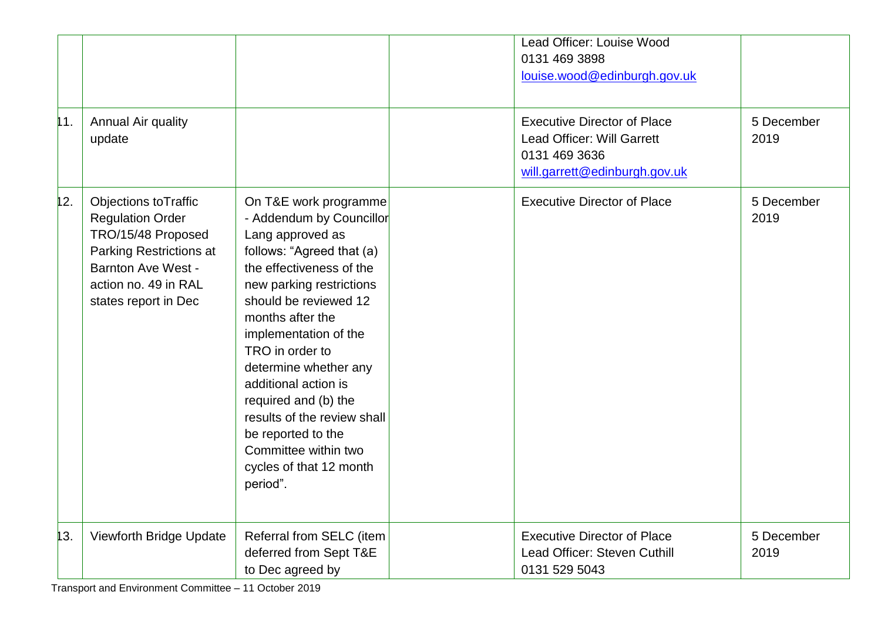|     |                                                                                                                                                                                      |                                                                                                                                                                                                                                                                                                                                                                                                                                                  | Lead Officer: Louise Wood<br>0131 469 3898<br>louise.wood@edinburgh.gov.uk                                         |                    |
|-----|--------------------------------------------------------------------------------------------------------------------------------------------------------------------------------------|--------------------------------------------------------------------------------------------------------------------------------------------------------------------------------------------------------------------------------------------------------------------------------------------------------------------------------------------------------------------------------------------------------------------------------------------------|--------------------------------------------------------------------------------------------------------------------|--------------------|
| 11. | Annual Air quality<br>update                                                                                                                                                         |                                                                                                                                                                                                                                                                                                                                                                                                                                                  | <b>Executive Director of Place</b><br>Lead Officer: Will Garrett<br>0131 469 3636<br>will.garrett@edinburgh.gov.uk | 5 December<br>2019 |
| 12. | <b>Objections toTraffic</b><br><b>Regulation Order</b><br>TRO/15/48 Proposed<br>Parking Restrictions at<br><b>Barnton Ave West -</b><br>action no. 49 in RAL<br>states report in Dec | On T&E work programme<br>- Addendum by Councillor<br>Lang approved as<br>follows: "Agreed that (a)<br>the effectiveness of the<br>new parking restrictions<br>should be reviewed 12<br>months after the<br>implementation of the<br>TRO in order to<br>determine whether any<br>additional action is<br>required and (b) the<br>results of the review shall<br>be reported to the<br>Committee within two<br>cycles of that 12 month<br>period". | <b>Executive Director of Place</b>                                                                                 | 5 December<br>2019 |
| 13. | Viewforth Bridge Update                                                                                                                                                              | Referral from SELC (item<br>deferred from Sept T&E<br>to Dec agreed by                                                                                                                                                                                                                                                                                                                                                                           | <b>Executive Director of Place</b><br>Lead Officer: Steven Cuthill<br>0131 529 5043                                | 5 December<br>2019 |